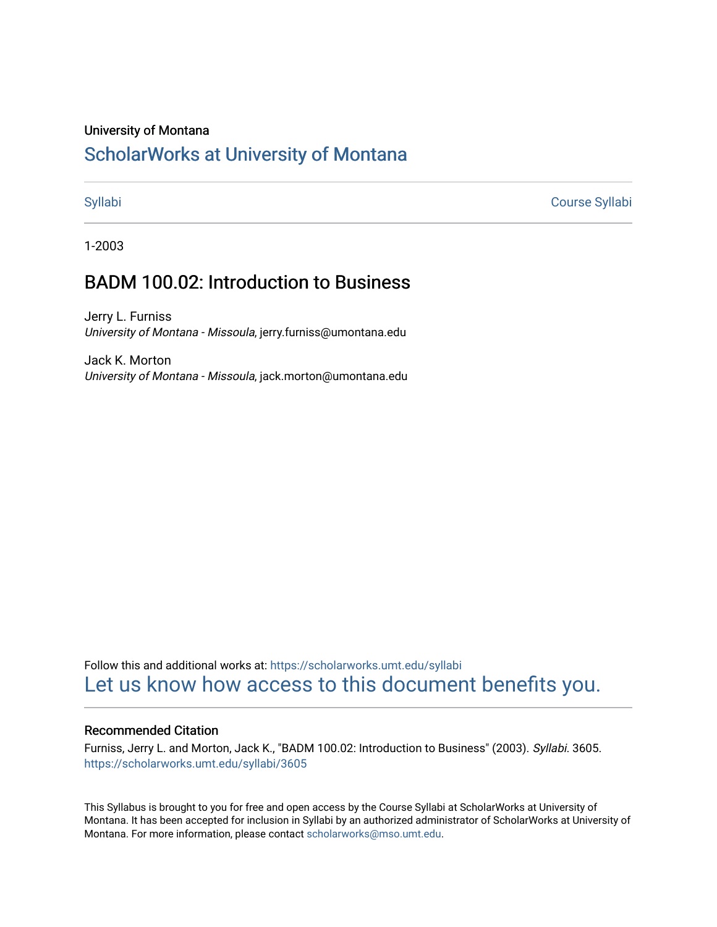### University of Montana

## [ScholarWorks at University of Montana](https://scholarworks.umt.edu/)

[Syllabi](https://scholarworks.umt.edu/syllabi) [Course Syllabi](https://scholarworks.umt.edu/course_syllabi) 

1-2003

# BADM 100.02: Introduction to Business

Jerry L. Furniss University of Montana - Missoula, jerry.furniss@umontana.edu

Jack K. Morton University of Montana - Missoula, jack.morton@umontana.edu

Follow this and additional works at: [https://scholarworks.umt.edu/syllabi](https://scholarworks.umt.edu/syllabi?utm_source=scholarworks.umt.edu%2Fsyllabi%2F3605&utm_medium=PDF&utm_campaign=PDFCoverPages)  [Let us know how access to this document benefits you.](https://goo.gl/forms/s2rGfXOLzz71qgsB2) 

### Recommended Citation

Furniss, Jerry L. and Morton, Jack K., "BADM 100.02: Introduction to Business" (2003). Syllabi. 3605. [https://scholarworks.umt.edu/syllabi/3605](https://scholarworks.umt.edu/syllabi/3605?utm_source=scholarworks.umt.edu%2Fsyllabi%2F3605&utm_medium=PDF&utm_campaign=PDFCoverPages)

This Syllabus is brought to you for free and open access by the Course Syllabi at ScholarWorks at University of Montana. It has been accepted for inclusion in Syllabi by an authorized administrator of ScholarWorks at University of Montana. For more information, please contact [scholarworks@mso.umt.edu.](mailto:scholarworks@mso.umt.edu)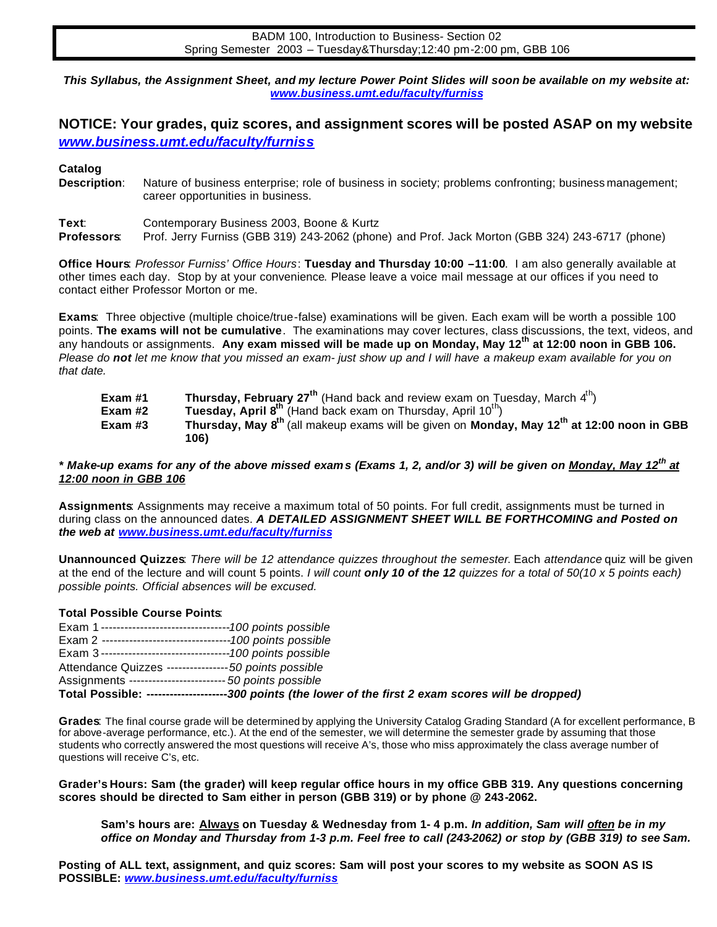*www.business.umt.edu/faculty/furniss This Syllabus, the Assignment Sheet, and my lecture Power Point Slides will soon be available on my website at:* 

## **NOTICE: Your grades, quiz scores, and assignment scores will be posted ASAP on my website**  *www.business.umt.edu/faculty/furniss*

**Catalog**<br>**Description**: Nature of business enterprise; role of business in society; problems confronting; business management; career opportunities in business.

Text:<br>Professors: Contemporary Business 2003, Boone & Kurtz **Professors**: Prof. Jerry Furniss (GBB 319) 243-2062 (phone) and Prof. Jack Morton (GBB 324) 243-6717 (phone)

**Office Hours**: *Professor Furniss' Office Hours*: **Tuesday and Thursday 10:00 –11:00**. I am also generally available at other times each day. Stop by at your convenience. Please leave a voice mail message at our offices if you need to contact either Professor Morton or me.

**Exams**: Three objective (multiple choice/true-false) examinations will be given. Each exam will be worth a possible 100 points. **The exams will not be cumulative**. The examinations may cover lectures, class discussions, the text, videos, and any handouts or assignments. **Any exam missed will be made up on Monday, May 12th at 12:00 noon in GBB 106.**  *Please do not let me know that you missed an exam- just show up and I will have a makeup exam available for you on that date.* 

| Exam #1   | <b>Thursday, February 27<sup>th</sup></b> (Hand back and review exam on Tuesday, March $4th$ )                     |
|-----------|--------------------------------------------------------------------------------------------------------------------|
| Exam $#2$ | Tuesday, April 8 <sup>th</sup> (Hand back exam on Thursday, April 10 <sup>th</sup> )                               |
| Exam $#3$ | Thursday, May 8 <sup>th</sup> (all makeup exams will be given on Monday, May 12 <sup>th</sup> at 12:00 noon in GBB |
|           | 106)                                                                                                               |

### *\* Make-up exams for any of the above missed exam s (Exams 1, 2, and/or 3) will be given on Monday, May 12th at 12:00 noon in GBB 106*

**Assignments**: Assignments may receive a maximum total of 50 points. For full credit, assignments must be turned in during class on the announced dates. *A DETAILED ASSIGNMENT SHEET WILL BE FORTHCOMING and Posted on the web at www.business.umt.edu/faculty/furniss* 

**Unannounced Quizzes**: *There will be 12 attendance quizzes throughout the semester*. Each *attendance* quiz will be given at the end of the lecture and will count 5 points. *I will count only 10 of the 12 quizzes for a total of 50(10 x 5 points each) possible points. Official absences will be excused.* 

### **Total Possible Course Points**:

|                                                             | Total Possible: --------------------300 points (the lower of the first 2 exam scores will be dropped) |
|-------------------------------------------------------------|-------------------------------------------------------------------------------------------------------|
| Assignments ------------------------- 50 points possible    |                                                                                                       |
| Attendance Quizzes ----------------50 points possible       |                                                                                                       |
| Exam 3---------------------------------100 points possible  |                                                                                                       |
| Exam 2 ---------------------------------100 points possible |                                                                                                       |
| Exam 1---------------------------------100 points possible  |                                                                                                       |

**Grades**: The final course grade will be determined by applying the University Catalog Grading Standard (A for excellent performance, B for above-average performance, etc.). At the end of the semester, we will determine the semester grade by assuming that those students who correctly answered the most questions will receive A's, those who miss approximately the class average number of questions will receive C's, etc.

**Grader's Hours: Sam (the grader) will keep regular office hours in my office GBB 319. Any questions concerning scores should be directed to Sam either in person (GBB 319) or by phone @ 243-2062.** 

**Sam's hours are: Always on Tuesday & Wednesday from 1- 4 p.m.** *In addition, Sam will often be in my office on Monday and Thursday from 1-3 p.m. Feel free to call (243-2062) or stop by (GBB 319) to see Sam.* 

**Posting of ALL text, assignment, and quiz scores: Sam will post your scores to my website as SOON AS IS POSSIBLE:** *www.business.umt.edu/faculty/furniss*